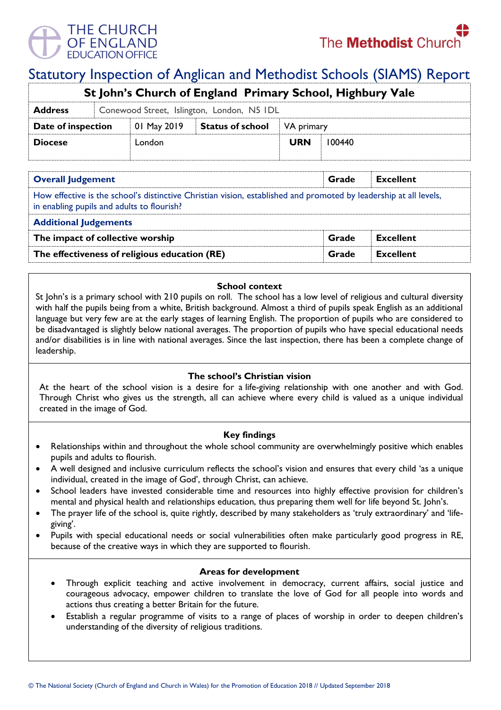

# Statutory Inspection of Anglican and Methodist Schools (SIAMS) Report

| St John's Church of England Primary School, Highbury Vale |                                            |             |                         |            |        |  |  |  |
|-----------------------------------------------------------|--------------------------------------------|-------------|-------------------------|------------|--------|--|--|--|
| <b>Address</b>                                            | Conewood Street, Islington, London, N5 IDL |             |                         |            |        |  |  |  |
| Date of inspection                                        |                                            | 01 May 2019 | <b>Status of school</b> | VA primary |        |  |  |  |
| <b>Diocese</b>                                            |                                            | London      |                         | <b>URN</b> | 100440 |  |  |  |
|                                                           |                                            |             |                         |            |        |  |  |  |

| <b>Overall Judgement</b>                                                                                                                                        | Grade | <b>Excellent</b> |
|-----------------------------------------------------------------------------------------------------------------------------------------------------------------|-------|------------------|
| How effective is the school's distinctive Christian vision, established and promoted by leadership at all levels,<br>in enabling pupils and adults to flourish? |       |                  |
| <b>Additional Judgements</b>                                                                                                                                    |       |                  |
| The impact of collective worship                                                                                                                                | Grade | <b>Excellent</b> |
| The effectiveness of religious education (RE)                                                                                                                   | Grade | <b>Excellent</b> |

# **School context**

St John's is a primary school with 210 pupils on roll. The school has a low level of religious and cultural diversity with half the pupils being from a white, British background. Almost a third of pupils speak English as an additional language but very few are at the early stages of learning English. The proportion of pupils who are considered to be disadvantaged is slightly below national averages. The proportion of pupils who have special educational needs and/or disabilities is in line with national averages. Since the last inspection, there has been a complete change of leadership.

# **The school's Christian vision**

At the heart of the school vision is a desire for a life-giving relationship with one another and with God. Through Christ who gives us the strength, all can achieve where every child is valued as a unique individual created in the image of God.

# **Key findings**

- Relationships within and throughout the whole school community are overwhelmingly positive which enables pupils and adults to flourish.
- A well designed and inclusive curriculum reflects the school's vision and ensures that every child 'as a unique individual, created in the image of God', through Christ, can achieve.
- School leaders have invested considerable time and resources into highly effective provision for children's mental and physical health and relationships education, thus preparing them well for life beyond St. John's.
- The prayer life of the school is, quite rightly, described by many stakeholders as 'truly extraordinary' and 'lifegiving'.
- Pupils with special educational needs or social vulnerabilities often make particularly good progress in RE, because of the creative ways in which they are supported to flourish.

#### **Areas for development**

- Through explicit teaching and active involvement in democracy, current affairs, social justice and courageous advocacy, empower children to translate the love of God for all people into words and actions thus creating a better Britain for the future.
- Establish a regular programme of visits to a range of places of worship in order to deepen children's understanding of the diversity of religious traditions.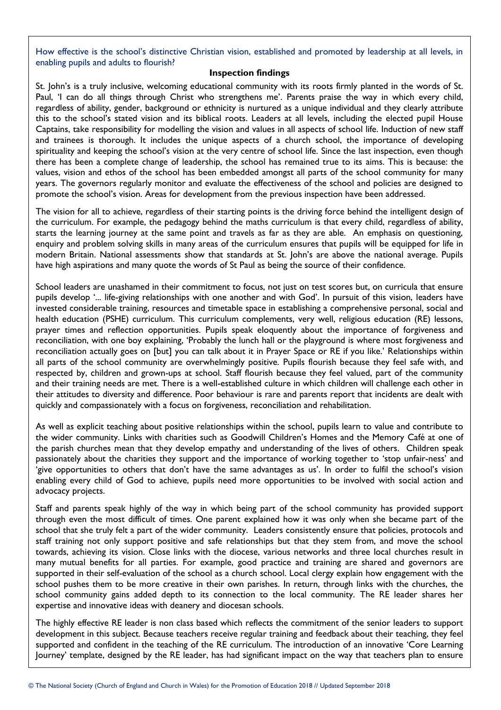How effective is the school's distinctive Christian vision, established and promoted by leadership at all levels, in enabling pupils and adults to flourish?

#### **Inspection findings**

St. John's is a truly inclusive, welcoming educational community with its roots firmly planted in the words of St. Paul, 'I can do all things through Christ who strengthens me'. Parents praise the way in which every child, regardless of ability, gender, background or ethnicity is nurtured as a unique individual and they clearly attribute this to the school's stated vision and its biblical roots. Leaders at all levels, including the elected pupil House Captains, take responsibility for modelling the vision and values in all aspects of school life. Induction of new staff and trainees is thorough. It includes the unique aspects of a church school, the importance of developing spirituality and keeping the school's vision at the very centre of school life. Since the last inspection, even though there has been a complete change of leadership, the school has remained true to its aims. This is because: the values, vision and ethos of the school has been embedded amongst all parts of the school community for many years. The governors regularly monitor and evaluate the effectiveness of the school and policies are designed to promote the school's vision. Areas for development from the previous inspection have been addressed.

The vision for all to achieve, regardless of their starting points is the driving force behind the intelligent design of the curriculum. For example, the pedagogy behind the maths curriculum is that every child, regardless of ability, starts the learning journey at the same point and travels as far as they are able. An emphasis on questioning, enquiry and problem solving skills in many areas of the curriculum ensures that pupils will be equipped for life in modern Britain. National assessments show that standards at St. John's are above the national average. Pupils have high aspirations and many quote the words of St Paul as being the source of their confidence.

School leaders are unashamed in their commitment to focus, not just on test scores but, on curricula that ensure pupils develop '... life-giving relationships with one another and with God'. In pursuit of this vision, leaders have invested considerable training, resources and timetable space in establishing a comprehensive personal, social and health education (PSHE) curriculum. This curriculum complements, very well, religious education (RE) lessons, prayer times and reflection opportunities. Pupils speak eloquently about the importance of forgiveness and reconciliation, with one boy explaining, 'Probably the lunch hall or the playground is where most forgiveness and reconciliation actually goes on [but] you can talk about it in Prayer Space or RE if you like.' Relationships within all parts of the school community are overwhelmingly positive. Pupils flourish because they feel safe with, and respected by, children and grown-ups at school. Staff flourish because they feel valued, part of the community and their training needs are met. There is a well-established culture in which children will challenge each other in their attitudes to diversity and difference. Poor behaviour is rare and parents report that incidents are dealt with quickly and compassionately with a focus on forgiveness, reconciliation and rehabilitation.

As well as explicit teaching about positive relationships within the school, pupils learn to value and contribute to the wider community. Links with charities such as Goodwill Children's Homes and the Memory Café at one of the parish churches mean that they develop empathy and understanding of the lives of others. Children speak passionately about the charities they support and the importance of working together to 'stop unfair-ness' and 'give opportunities to others that don't have the same advantages as us'. In order to fulfil the school's vision enabling every child of God to achieve, pupils need more opportunities to be involved with social action and advocacy projects.

Staff and parents speak highly of the way in which being part of the school community has provided support through even the most difficult of times. One parent explained how it was only when she became part of the school that she truly felt a part of the wider community. Leaders consistently ensure that policies, protocols and staff training not only support positive and safe relationships but that they stem from, and move the school towards, achieving its vision. Close links with the diocese, various networks and three local churches result in many mutual benefits for all parties. For example, good practice and training are shared and governors are supported in their self-evaluation of the school as a church school. Local clergy explain how engagement with the school pushes them to be more creative in their own parishes. In return, through links with the churches, the school community gains added depth to its connection to the local community. The RE leader shares her expertise and innovative ideas with deanery and diocesan schools.

The highly effective RE leader is non class based which reflects the commitment of the senior leaders to support development in this subject. Because teachers receive regular training and feedback about their teaching, they feel supported and confident in the teaching of the RE curriculum. The introduction of an innovative 'Core Learning Journey' template, designed by the RE leader, has had significant impact on the way that teachers plan to ensure